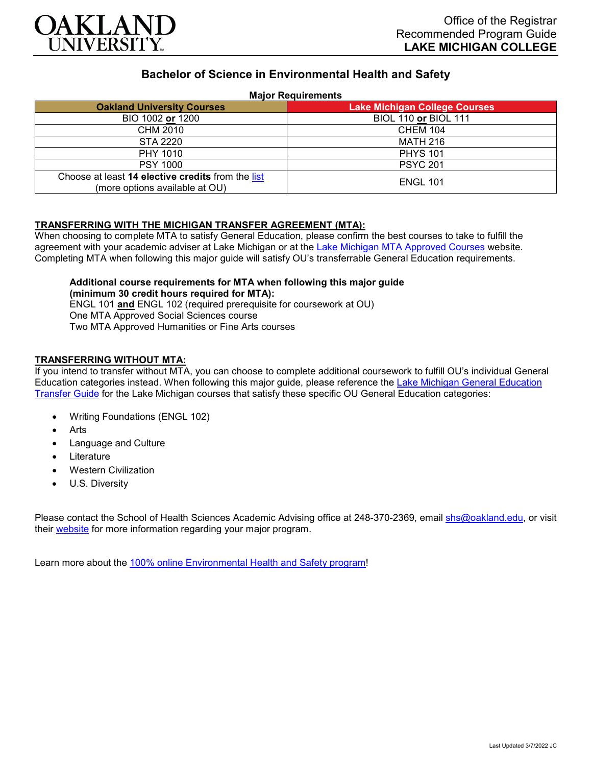

# **Bachelor of Science in Environmental Health and Safety**

## **Major Requirements**

| <b>Oakland University Courses</b>                                                   | <b>Lake Michigan College Courses</b> |
|-------------------------------------------------------------------------------------|--------------------------------------|
| BIO 1002 or 1200                                                                    | <b>BIOL 110 or BIOL 111</b>          |
| CHM 2010                                                                            | <b>CHEM 104</b>                      |
| STA 2220                                                                            | <b>MATH 216</b>                      |
| PHY 1010                                                                            | <b>PHYS 101</b>                      |
| <b>PSY 1000</b>                                                                     | <b>PSYC 201</b>                      |
| Choose at least 14 elective credits from the list<br>(more options available at OU) | <b>ENGL 101</b>                      |

## **TRANSFERRING WITH THE MICHIGAN TRANSFER AGREEMENT (MTA):**

When choosing to complete MTA to satisfy General Education, please confirm the best courses to take to fulfill the agreement with your academic adviser at Lake Michigan or at the [Lake Michigan MTA Approved Courses](https://www.lakemichigancollege.edu/academics/educational-goals/transfer/transfer-information) website. Completing MTA when following this major guide will satisfy OU's transferrable General Education requirements.

#### **Additional course requirements for MTA when following this major guide (minimum 30 credit hours required for MTA):**

ENGL 101 **and** ENGL 102 (required prerequisite for coursework at OU) One MTA Approved Social Sciences course Two MTA Approved Humanities or Fine Arts courses

## **TRANSFERRING WITHOUT MTA:**

If you intend to transfer without MTA, you can choose to complete additional coursework to fulfill OU's individual General Education categories instead. When following this major guide, please reference the [Lake Michigan General Education](https://www.oakland.edu/Assets/Oakland/program-guides/lake-michigan-college/university-general-education-requirements/Lake%20Michigan%20Gen%20Ed.pdf)  [Transfer Guide](https://www.oakland.edu/Assets/Oakland/program-guides/lake-michigan-college/university-general-education-requirements/Lake%20Michigan%20Gen%20Ed.pdf) for the Lake Michigan courses that satisfy these specific OU General Education categories:

- Writing Foundations (ENGL 102)
- **Arts**
- Language and Culture
- **Literature**
- Western Civilization
- U.S. Diversity

Please contact the School of Health Sciences Academic Advising office at 248-370-2369, email [shs@oakland.edu,](mailto:shs@oakland.edu) or visit their [website](http://www.oakland.edu/shs/advising) for more information regarding your major program.

Learn more about the [100% online Environmental Health and Safety program!](https://www.oakland.edu/online/undergraduate-degree-programs/ehs/)